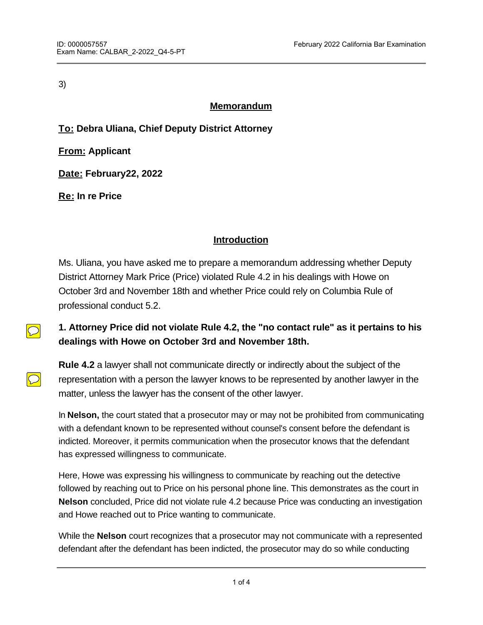3)

 $\bigcirc$ 

 $\overline{\bigcirc}$ 

### **Memorandum**

**To: Debra Uliana, Chief Deputy District Attorney**

**From: Applicant**

**Date: February22, 2022**

**Re: In re Price**

## **Introduction**

Ms. Uliana, you have asked me to prepare a memorandum addressing whether Deputy District Attorney Mark Price (Price) violated Rule 4.2 in his dealings with Howe on October 3rd and November 18th and whether Price could rely on Columbia Rule of professional conduct 5.2.

# **1. Attorney Price did not violate Rule 4.2, the "no contact rule" as it pertains to his dealings with Howe on October 3rd and November 18th.**

**Rule 4.2** a lawyer shall not communicate directly or indirectly about the subject of the representation with a person the lawyer knows to be represented by another lawyer in the matter, unless the lawyer has the consent of the other lawyer.

In **Nelson,** the court stated that a prosecutor may or may not be prohibited from communicating with a defendant known to be represented without counsel's consent before the defendant is indicted. Moreover, it permits communication when the prosecutor knows that the defendant has expressed willingness to communicate.

Here, Howe was expressing his willingness to communicate by reaching out the detective followed by reaching out to Price on his personal phone line. This demonstrates as the court in **Nelson** concluded, Price did not violate rule 4.2 because Price was conducting an investigation and Howe reached out to Price wanting to communicate.

While the **Nelson** court recognizes that a prosecutor may not communicate with a represented defendant after the defendant has been indicted, the prosecutor may do so while conducting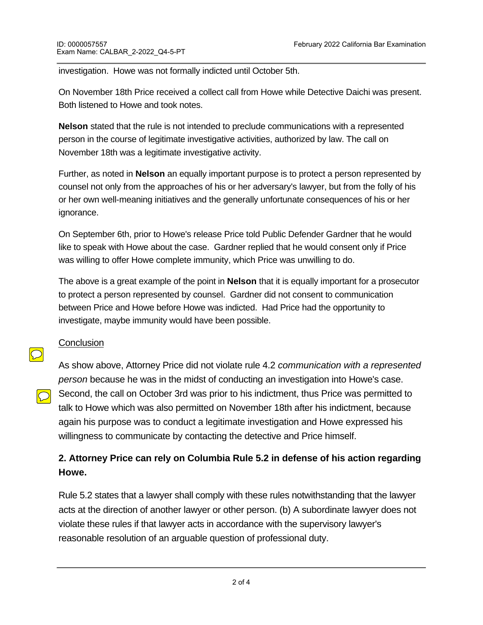investigation. Howe was not formally indicted until October 5th.

On November 18th Price received a collect call from Howe while Detective Daichi was present. Both listened to Howe and took notes.

**Nelson** stated that the rule is not intended to preclude communications with a represented person in the course of legitimate investigative activities, authorized by law. The call on November 18th was a legitimate investigative activity.

Further, as noted in **Nelson** an equally important purpose is to protect a person represented by counsel not only from the approaches of his or her adversary's lawyer, but from the folly of his or her own well-meaning initiatives and the generally unfortunate consequences of his or her ignorance.

On September 6th, prior to Howe's release Price told Public Defender Gardner that he would like to speak with Howe about the case. Gardner replied that he would consent only if Price was willing to offer Howe complete immunity, which Price was unwilling to do.

The above is a great example of the point in **Nelson** that it is equally important for a prosecutor to protect a person represented by counsel. Gardner did not consent to communication between Price and Howe before Howe was indicted. Had Price had the opportunity to investigate, maybe immunity would have been possible.

#### **Conclusion**

As show above, Attorney Price did not violate rule 4.2 *communication with a represented person* because he was in the midst of conducting an investigation into Howe's case. Second, the call on October 3rd was prior to his indictment, thus Price was permitted to talk to Howe which was also permitted on November 18th after his indictment, because again his purpose was to conduct a legitimate investigation and Howe expressed his willingness to communicate by contacting the detective and Price himself.

# **2. Attorney Price can rely on Columbia Rule 5.2 in defense of his action regarding Howe.**

Rule 5.2 states that a lawyer shall comply with these rules notwithstanding that the lawyer acts at the direction of another lawyer or other person. (b) A subordinate lawyer does not violate these rules if that lawyer acts in accordance with the supervisory lawyer's reasonable resolution of an arguable question of professional duty.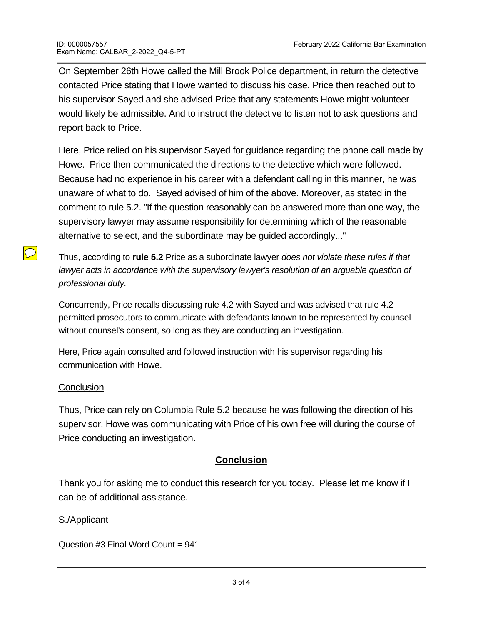On September 26th Howe called the Mill Brook Police department, in return the detective contacted Price stating that Howe wanted to discuss his case. Price then reached out to his supervisor Sayed and she advised Price that any statements Howe might volunteer would likely be admissible. And to instruct the detective to listen not to ask questions and report back to Price.

Here, Price relied on his supervisor Sayed for guidance regarding the phone call made by Howe. Price then communicated the directions to the detective which were followed. Because had no experience in his career with a defendant calling in this manner, he was unaware of what to do. Sayed advised of him of the above. Moreover, as stated in the comment to rule 5.2. "If the question reasonably can be answered more than one way, the supervisory lawyer may assume responsibility for determining which of the reasonable alternative to select, and the subordinate may be guided accordingly..."

Thus, according to **rule 5.2** Price as a subordinate lawyer *does not violate these rules if that lawyer acts in accordance with the supervisory lawyer's resolution of an arguable question of professional duty.*

Concurrently, Price recalls discussing rule 4.2 with Sayed and was advised that rule 4.2 permitted prosecutors to communicate with defendants known to be represented by counsel without counsel's consent, so long as they are conducting an investigation.

Here, Price again consulted and followed instruction with his supervisor regarding his communication with Howe.

### **Conclusion**

 $\bigcirc$ 

Thus, Price can rely on Columbia Rule 5.2 because he was following the direction of his supervisor, Howe was communicating with Price of his own free will during the course of Price conducting an investigation.

### **Conclusion**

Thank you for asking me to conduct this research for you today. Please let me know if I can be of additional assistance.

S./Applicant

**END OF EXAMPLE 200** 

Question #3 Final Word Count = 941